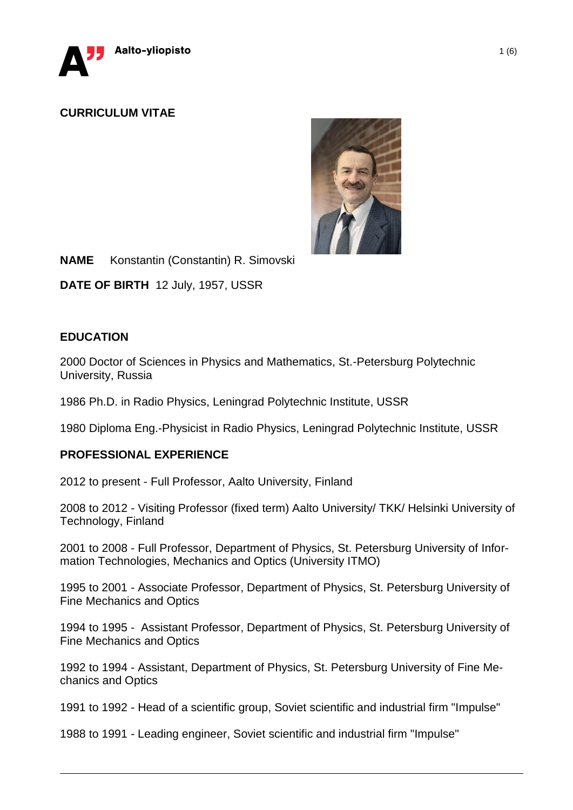

# **CURRICULUM VITAE**



**NAME** Konstantin (Constantin) R. Simovski

**DATE OF BIRTH** 12 July, 1957, USSR

# **EDUCATION**

2000 Doctor of Sciences in Physics and Mathematics, St.-Petersburg Polytechnic University, Russia

1986 Ph.D. in Radio Physics, Leningrad Polytechnic Institute, USSR

1980 Diploma Eng.-Physicist in Radio Physics, Leningrad Polytechnic Institute, USSR

## **PROFESSIONAL EXPERIENCE**

2012 to present - Full Professor, Aalto University, Finland

2008 to 2012 - Visiting Professor (fixed term) Aalto University/ TKK/ Helsinki University of Technology, Finland

2001 to 2008 - Full Professor, Department of Physics, St. Petersburg University of Information Technologies, Mechanics and Optics (University ITMO)

1995 to 2001 - Associate Professor, Department of Physics, St. Petersburg University of Fine Mechanics and Optics

1994 to 1995 - Assistant Professor, Department of Physics, St. Petersburg University of Fine Mechanics and Optics

1992 to 1994 - Assistant, Department of Physics, St. Petersburg University of Fine Mechanics and Optics

1991 to 1992 - Head of a scientific group, Soviet scientific and industrial firm "Impulse"

1988 to 1991 - Leading engineer, Soviet scientific and industrial firm "Impulse"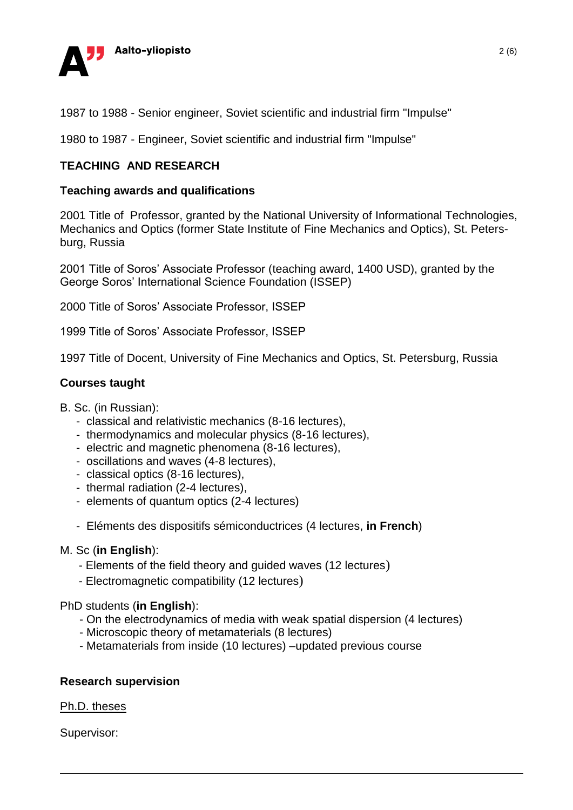

1987 to 1988 - Senior engineer, Soviet scientific and industrial firm "Impulse"

1980 to 1987 - Engineer, Soviet scientific and industrial firm "Impulse"

# **TEACHING AND RESEARCH**

### **Teaching awards and qualifications**

2001 Title of Professor, granted by the National University of Informational Technologies, Mechanics and Optics (former State Institute of Fine Mechanics and Optics), St. Petersburg, Russia

2001 Title of Soros' Associate Professor (teaching award, 1400 USD), granted by the George Soros' International Science Foundation (ISSEP)

2000 Title of Soros' Associate Professor, ISSEP

1999 Title of Soros' Associate Professor, ISSEP

1997 Title of Docent, University of Fine Mechanics and Optics, St. Petersburg, Russia

### **Courses taught**

#### B. Sc. (in Russian):

- classical and relativistic mechanics (8-16 lectures),
- thermodynamics and molecular physics (8-16 lectures),
- electric and magnetic phenomena (8-16 lectures),
- oscillations and waves (4-8 lectures),
- classical optics (8-16 lectures),
- thermal radiation (2-4 lectures),
- elements of quantum optics (2-4 lectures)
- Eléments des dispositifs sémiconductrices (4 lectures, **in French**)

#### M. Sc (**in English**):

- Elements of the field theory and guided waves (12 lectures)
- Electromagnetic compatibility (12 lectures)

#### PhD students (**in English**):

- On the electrodynamics of media with weak spatial dispersion (4 lectures)
- Microscopic theory of metamaterials (8 lectures)
- Metamaterials from inside (10 lectures) –updated previous course

## **Research supervision**

#### Ph.D. theses

Supervisor: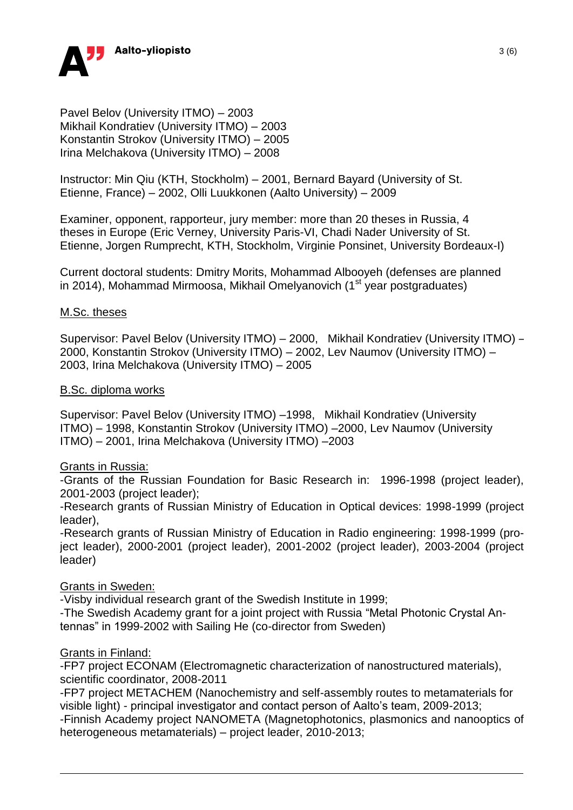

Pavel Belov (University ITMO) – 2003 Mikhail Kondratiev (University ITMO) – 2003 Konstantin Strokov (University ITMO) – 2005 Irina Melchakova (University ITMO) – 2008

Instructor: Min Qiu (KTH, Stockholm) – 2001, Bernard Bayard (University of St. Etienne, France) – 2002, Olli Luukkonen (Aalto University) – 2009

Examiner, opponent, rapporteur, jury member: more than 20 theses in Russia, 4 theses in Europe (Eric Verney, University Paris-VI, Chadi Nader University of St. Etienne, Jorgen Rumprecht, KTH, Stockholm, Virginie Ponsinet, University Bordeaux-I)

Current doctoral students: Dmitry Morits, Mohammad Albooyeh (defenses are planned in 2014), Mohammad Mirmoosa, Mikhail Omelyanovich  $(1<sup>st</sup>$  year postgraduates)

#### M.Sc. theses

Supervisor: Pavel Belov (University ITMO) – 2000, Mikhail Kondratiev (University ITMO) – 2000, Konstantin Strokov (University ITMO) – 2002, Lev Naumov (University ITMO) – 2003, Irina Melchakova (University ITMO) – 2005

#### B.Sc. diploma works

Supervisor: Pavel Belov (University ITMO) –1998, Mikhail Kondratiev (University ITMO) – 1998, Konstantin Strokov (University ITMO) –2000, Lev Naumov (University ITMO) – 2001, Irina Melchakova (University ITMO) –2003

#### Grants in Russia:

-Grants of the Russian Foundation for Basic Research in: 1996-1998 (project leader), 2001-2003 (project leader);

-Research grants of Russian Ministry of Education in Optical devices: 1998-1999 (project leader),

-Research grants of Russian Ministry of Education in Radio engineering: 1998-1999 (project leader), 2000-2001 (project leader), 2001-2002 (project leader), 2003-2004 (project leader)

#### Grants in Sweden:

-Visby individual research grant of the Swedish Institute in 1999;

-The Swedish Academy grant for a joint project with Russia "Metal Photonic Crystal Antennas" in 1999-2002 with Sailing He (co-director from Sweden)

## **Grants in Finland:**

-FP7 project ECONAM (Electromagnetic characterization of nanostructured materials), scientific coordinator, 2008-2011

-FP7 project METACHEM (Nanochemistry and self-assembly routes to metamaterials for visible light) - principal investigator and contact person of Aalto's team, 2009-2013; -Finnish Academy project NANOMETA (Magnetophotonics, plasmonics and nanooptics of heterogeneous metamaterials) – project leader, 2010-2013;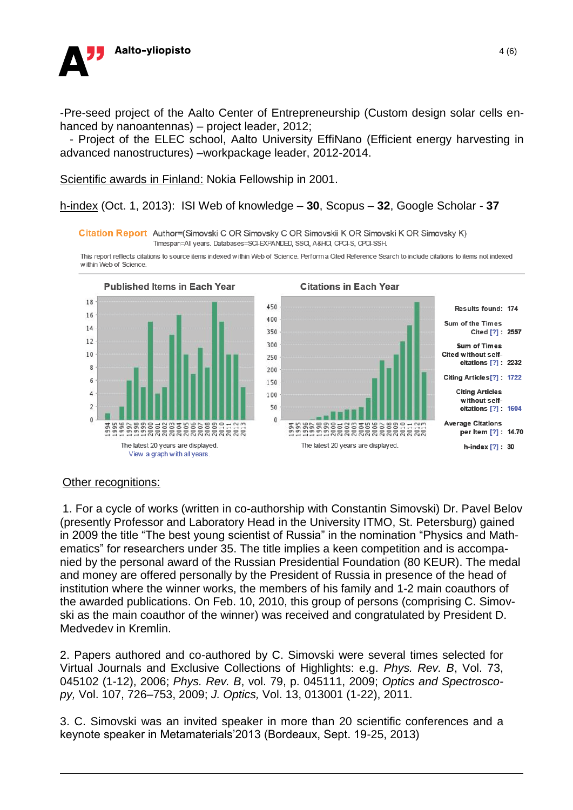

-Pre-seed project of the Aalto Center of Entrepreneurship (Custom design solar cells enhanced by nanoantennas) – project leader, 2012;

 - Project of the ELEC school, Aalto University EffiNano (Efficient energy harvesting in advanced nanostructures) –workpackage leader, 2012-2014.

Scientific awards in Finland: Nokia Fellowship in 2001.

h-index (Oct. 1, 2013): ISI Web of knowledge – **30**, Scopus – **32**, Google Scholar - **37**

Citation Report Author=(Simovski C OR Simovsky C OR Simovskii K OR Simovski K OR Simovsky K) Timespan=All years. Databases=SCI-EXPANDED, SSCI, A&HCI, CPCI-S, CPCI-SSH.

This report reflects citations to source items indexed within Web of Science. Perform a Cited Reference Search to include citations to items not indexed within Web of Science



## Other recognitions:

1. For a cycle of works (written in co-authorship with Constantin Simovski) Dr. Pavel Belov (presently Professor and Laboratory Head in the University ITMO, St. Petersburg) gained in 2009 the title "The best young scientist of Russia" in the nomination "Physics and Mathematics" for researchers under 35. The title implies a keen competition and is accompanied by the personal award of the Russian Presidential Foundation (80 KEUR). The medal and money are offered personally by the President of Russia in presence of the head of institution where the winner works, the members of his family and 1-2 main coauthors of the awarded publications. On Feb. 10, 2010, this group of persons (comprising C. Simovski as the main coauthor of the winner) was received and congratulated by President D. Medvedev in Kremlin.

2. Papers authored and co-authored by C. Simovski were several times selected for Virtual Journals and Exclusive Collections of Highlights: e.g. *Phys. Rev. B*, Vol. 73, 045102 (1-12), 2006; *Phys. Rev. B*, vol. 79, p. 045111, 2009; *Optics and Spectroscopy,* Vol. 107, 726–753, 2009; *J. Optics,* Vol. 13, 013001 (1-22), 2011.

3. C. Simovski was an invited speaker in more than 20 scientific conferences and a keynote speaker in Metamaterials'2013 (Bordeaux, Sept. 19-25, 2013)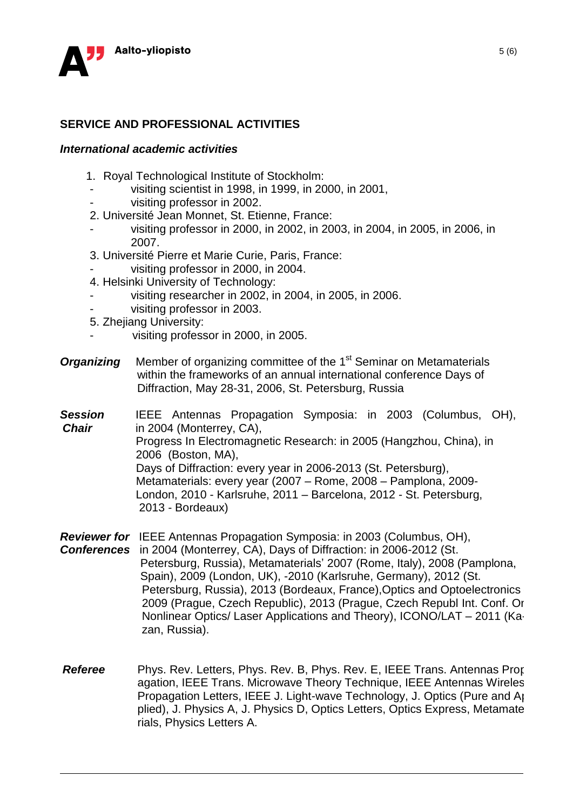

# **SERVICE AND PROFESSIONAL ACTIVITIES**

#### *International academic activities*

- 1. Royal Technological Institute of Stockholm:
	- visiting scientist in 1998, in 1999, in 2000, in 2001,
- visiting professor in 2002.
- 2. Université Jean Monnet, St. Etienne, France:
- visiting professor in 2000, in 2002, in 2003, in 2004, in 2005, in 2006, in 2007.
- 3. Université Pierre et Marie Curie, Paris, France:
- visiting professor in 2000, in 2004.
- 4. Helsinki University of Technology:
- visiting researcher in 2002, in 2004, in 2005, in 2006.
- visiting professor in 2003.
- 5. Zhejiang University:
- visiting professor in 2000, in 2005.
- **Organizing** Member of organizing committee of the 1<sup>st</sup> Seminar on Metamaterials within the frameworks of an annual international conference Days of Diffraction, May 28-31, 2006, St. Petersburg, Russia
- **Session** IEEE Antennas Propagation Symposia: in 2003 (Columbus, OH), *Chair* in 2004 (Monterrey, CA), Progress In Electromagnetic Research: in 2005 (Hangzhou, China), in 2006 (Boston, MA), Days of Diffraction: every year in 2006-2013 (St. Petersburg), Metamaterials: every year (2007 – Rome, 2008 – Pamplona, 2009- London, 2010 - Karlsruhe, 2011 – Barcelona, 2012 - St. Petersburg, 2013 - Bordeaux)
- *Reviewer for* IEEE Antennas Propagation Symposia: in 2003 (Columbus, OH), *Conferences* in 2004 (Monterrey, CA), Days of Diffraction: in 2006-2012 (St. Petersburg, Russia), Metamaterials' 2007 (Rome, Italy), 2008 (Pamplona, Spain), 2009 (London, UK), -2010 (Karlsruhe, Germany), 2012 (St. Petersburg, Russia), 2013 (Bordeaux, France),Optics and Optoelectronics – 2009 (Prague, Czech Republic), 2013 (Prague, Czech Republ Int. Conf. On Nonlinear Optics/ Laser Applications and Theory), ICONO/LAT – 2011 (Kazan, Russia).
- *Referee* Phys. Rev. Letters, Phys. Rev. B, Phys. Rev. E, IEEE Trans. Antennas Propagation, IEEE Trans. Microwave Theory Technique, IEEE Antennas Wireles Propagation Letters, IEEE J. Light-wave Technology, J. Optics (Pure and Applied), J. Physics A, J. Physics D, Optics Letters, Optics Express, Metamaterials, Physics Letters A.